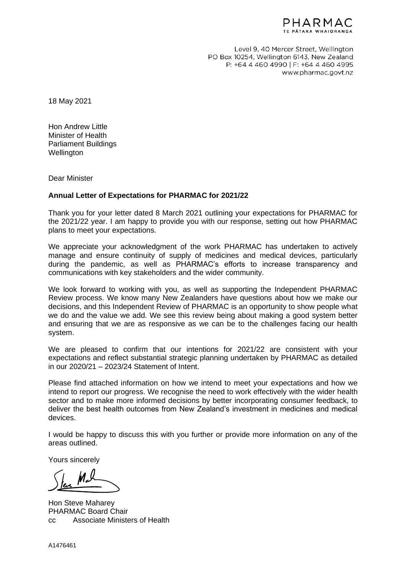

Level 9, 40 Mercer Street, Wellington PO Box 10254, Wellington 6143, New Zealand P: +64 4 460 4990 | F: +64 4 460 4995 www.pharmac.govt.nz

18 May 2021

Hon Andrew Little Minister of Health Parliament Buildings **Wellington** 

Dear Minister

## **Annual Letter of Expectations for PHARMAC for 2021/22**

Thank you for your letter dated 8 March 2021 outlining your expectations for PHARMAC for the 2021/22 year. I am happy to provide you with our response, setting out how PHARMAC plans to meet your expectations.

We appreciate your acknowledgment of the work PHARMAC has undertaken to actively manage and ensure continuity of supply of medicines and medical devices, particularly during the pandemic, as well as PHARMAC's efforts to increase transparency and communications with key stakeholders and the wider community.

We look forward to working with you, as well as supporting the Independent PHARMAC Review process. We know many New Zealanders have questions about how we make our decisions, and this Independent Review of PHARMAC is an opportunity to show people what we do and the value we add. We see this review being about making a good system better and ensuring that we are as responsive as we can be to the challenges facing our health system.

We are pleased to confirm that our intentions for 2021/22 are consistent with your expectations and reflect substantial strategic planning undertaken by PHARMAC as detailed in our 2020/21 – 2023/24 Statement of Intent.

Please find attached information on how we intend to meet your expectations and how we intend to report our progress. We recognise the need to work effectively with the wider health sector and to make more informed decisions by better incorporating consumer feedback, to deliver the best health outcomes from New Zealand's investment in medicines and medical devices.

I would be happy to discuss this with you further or provide more information on any of the areas outlined.

Yours sincerely

Hon Steve Maharey PHARMAC Board Chair cc Associate Ministers of Health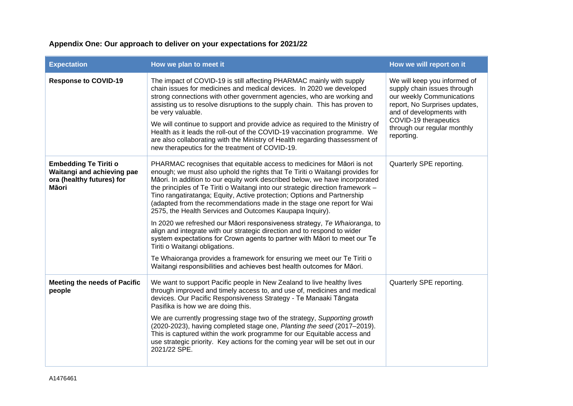## **Appendix One: Our approach to deliver on your expectations for 2021/22**

| <b>Expectation</b>                                                                                      | How we plan to meet it                                                                                                                                                                                                                                                                                                                                                                                                                                                                                                                                                                                                                                                                                                                                                                                                                                                                                                                                                  | How we will report on it                                                                                                                                                                                                    |
|---------------------------------------------------------------------------------------------------------|-------------------------------------------------------------------------------------------------------------------------------------------------------------------------------------------------------------------------------------------------------------------------------------------------------------------------------------------------------------------------------------------------------------------------------------------------------------------------------------------------------------------------------------------------------------------------------------------------------------------------------------------------------------------------------------------------------------------------------------------------------------------------------------------------------------------------------------------------------------------------------------------------------------------------------------------------------------------------|-----------------------------------------------------------------------------------------------------------------------------------------------------------------------------------------------------------------------------|
| <b>Response to COVID-19</b>                                                                             | The impact of COVID-19 is still affecting PHARMAC mainly with supply<br>chain issues for medicines and medical devices. In 2020 we developed<br>strong connections with other government agencies, who are working and<br>assisting us to resolve disruptions to the supply chain. This has proven to<br>be very valuable.<br>We will continue to support and provide advice as required to the Ministry of<br>Health as it leads the roll-out of the COVID-19 vaccination programme. We<br>are also collaborating with the Ministry of Health regarding thassessment of<br>new therapeutics for the treatment of COVID-19.                                                                                                                                                                                                                                                                                                                                             | We will keep you informed of<br>supply chain issues through<br>our weekly Communications<br>report, No Surprises updates,<br>and of developments with<br>COVID-19 therapeutics<br>through our regular monthly<br>reporting. |
| <b>Embedding Te Tiriti o</b><br>Waitangi and achieving pae<br>ora (healthy futures) for<br><b>Māori</b> | PHARMAC recognises that equitable access to medicines for Māori is not<br>enough; we must also uphold the rights that Te Tiriti o Waitangi provides for<br>Māori. In addition to our equity work described below, we have incorporated<br>the principles of Te Tiriti o Waitangi into our strategic direction framework -<br>Tino rangatiratanga; Equity, Active protection; Options and Partnership<br>(adapted from the recommendations made in the stage one report for Wai<br>2575, the Health Services and Outcomes Kaupapa Inquiry).<br>In 2020 we refreshed our Māori responsiveness strategy, Te Whaioranga, to<br>align and integrate with our strategic direction and to respond to wider<br>system expectations for Crown agents to partner with Māori to meet our Te<br>Tiriti o Waitangi obligations.<br>Te Whaioranga provides a framework for ensuring we meet our Te Tiriti o<br>Waitangi responsibilities and achieves best health outcomes for Māori. | Quarterly SPE reporting.                                                                                                                                                                                                    |
| <b>Meeting the needs of Pacific</b><br>people                                                           | We want to support Pacific people in New Zealand to live healthy lives<br>through improved and timely access to, and use of, medicines and medical<br>devices. Our Pacific Responsiveness Strategy - Te Manaaki Tāngata<br>Pasifika is how we are doing this.<br>We are currently progressing stage two of the strategy, Supporting growth<br>(2020-2023), having completed stage one, Planting the seed (2017-2019).<br>This is captured within the work programme for our Equitable access and<br>use strategic priority. Key actions for the coming year will be set out in our<br>2021/22 SPE.                                                                                                                                                                                                                                                                                                                                                                      | Quarterly SPE reporting.                                                                                                                                                                                                    |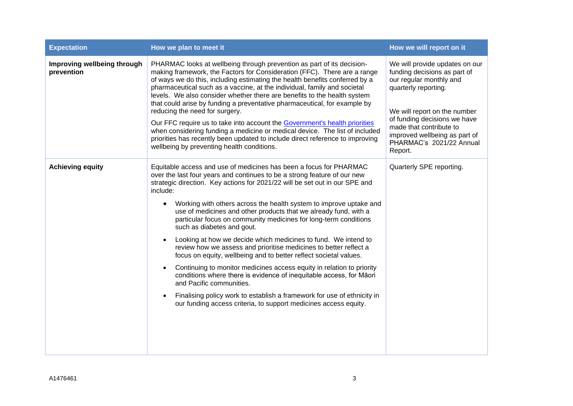| <b>Expectation</b>                        | How we plan to meet it                                                                                                                                                                                                                                                                                                                                                                                                                                                                                                                                                                                                                                                                                                                                                                                                                                                                                                                                                                                                       | How we will report on it                                                                                                                                                                                                                                                             |
|-------------------------------------------|------------------------------------------------------------------------------------------------------------------------------------------------------------------------------------------------------------------------------------------------------------------------------------------------------------------------------------------------------------------------------------------------------------------------------------------------------------------------------------------------------------------------------------------------------------------------------------------------------------------------------------------------------------------------------------------------------------------------------------------------------------------------------------------------------------------------------------------------------------------------------------------------------------------------------------------------------------------------------------------------------------------------------|--------------------------------------------------------------------------------------------------------------------------------------------------------------------------------------------------------------------------------------------------------------------------------------|
| Improving wellbeing through<br>prevention | PHARMAC looks at wellbeing through prevention as part of its decision-<br>making framework, the Factors for Consideration (FFC). There are a range<br>of ways we do this, including estimating the health benefits conferred by a<br>pharmaceutical such as a vaccine, at the individual, family and societal<br>levels. We also consider whether there are benefits to the health system<br>that could arise by funding a preventative pharmaceutical, for example by<br>reducing the need for surgery.<br>Our FFC require us to take into account the Government's health priorities<br>when considering funding a medicine or medical device. The list of included<br>priorities has recently been updated to include direct reference to improving<br>wellbeing by preventing health conditions.                                                                                                                                                                                                                         | We will provide updates on our<br>funding decisions as part of<br>our regular monthly and<br>quarterly reporting.<br>We will report on the number<br>of funding decisions we have<br>made that contribute to<br>improved wellbeing as part of<br>PHARMAC's 2021/22 Annual<br>Report. |
| <b>Achieving equity</b>                   | Equitable access and use of medicines has been a focus for PHARMAC<br>over the last four years and continues to be a strong feature of our new<br>strategic direction. Key actions for 2021/22 will be set out in our SPE and<br>include:<br>Working with others across the health system to improve uptake and<br>use of medicines and other products that we already fund, with a<br>particular focus on community medicines for long-term conditions<br>such as diabetes and gout.<br>Looking at how we decide which medicines to fund. We intend to<br>review how we assess and prioritise medicines to better reflect a<br>focus on equity, wellbeing and to better reflect societal values.<br>Continuing to monitor medicines access equity in relation to priority<br>conditions where there is evidence of inequitable access, for Māori<br>and Pacific communities.<br>Finalising policy work to establish a framework for use of ethnicity in<br>our funding access criteria, to support medicines access equity. | Quarterly SPE reporting.                                                                                                                                                                                                                                                             |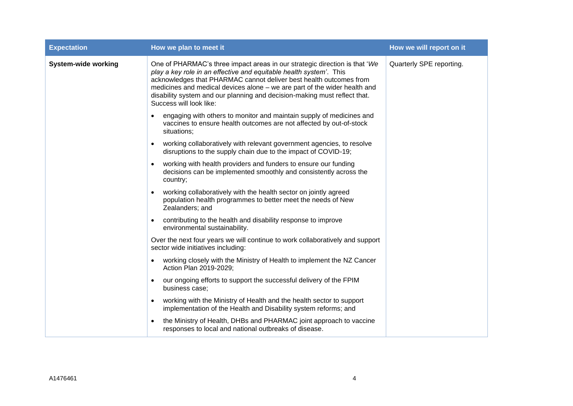| <b>Expectation</b>         | How we plan to meet it                                                                                                                                                                                                                                                                                                                                                                                      | How we will report on it |
|----------------------------|-------------------------------------------------------------------------------------------------------------------------------------------------------------------------------------------------------------------------------------------------------------------------------------------------------------------------------------------------------------------------------------------------------------|--------------------------|
| <b>System-wide working</b> | One of PHARMAC's three impact areas in our strategic direction is that 'We<br>play a key role in an effective and equitable health system'. This<br>acknowledges that PHARMAC cannot deliver best health outcomes from<br>medicines and medical devices alone - we are part of the wider health and<br>disability system and our planning and decision-making must reflect that.<br>Success will look like: | Quarterly SPE reporting. |
|                            | engaging with others to monitor and maintain supply of medicines and<br>$\bullet$<br>vaccines to ensure health outcomes are not affected by out-of-stock<br>situations;                                                                                                                                                                                                                                     |                          |
|                            | working collaboratively with relevant government agencies, to resolve<br>disruptions to the supply chain due to the impact of COVID-19;                                                                                                                                                                                                                                                                     |                          |
|                            | working with health providers and funders to ensure our funding<br>decisions can be implemented smoothly and consistently across the<br>country;                                                                                                                                                                                                                                                            |                          |
|                            | working collaboratively with the health sector on jointly agreed<br>population health programmes to better meet the needs of New<br>Zealanders; and                                                                                                                                                                                                                                                         |                          |
|                            | contributing to the health and disability response to improve<br>٠<br>environmental sustainability.                                                                                                                                                                                                                                                                                                         |                          |
|                            | Over the next four years we will continue to work collaboratively and support<br>sector wide initiatives including:                                                                                                                                                                                                                                                                                         |                          |
|                            | working closely with the Ministry of Health to implement the NZ Cancer<br>Action Plan 2019-2029;                                                                                                                                                                                                                                                                                                            |                          |
|                            | our ongoing efforts to support the successful delivery of the FPIM<br>business case;                                                                                                                                                                                                                                                                                                                        |                          |
|                            | working with the Ministry of Health and the health sector to support<br>implementation of the Health and Disability system reforms; and                                                                                                                                                                                                                                                                     |                          |
|                            | the Ministry of Health, DHBs and PHARMAC joint approach to vaccine<br>responses to local and national outbreaks of disease.                                                                                                                                                                                                                                                                                 |                          |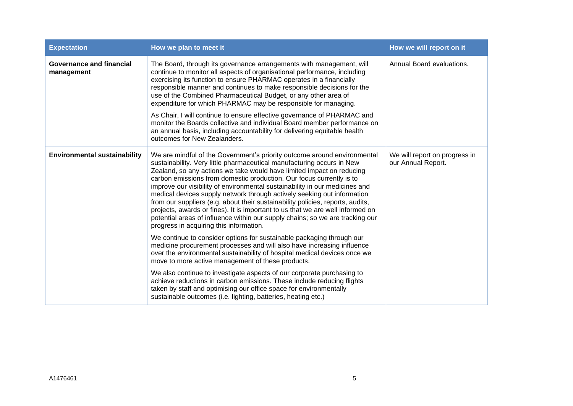| <b>Expectation</b>                            | How we plan to meet it                                                                                                                                                                                                                                                                                                                                                                                                                                                                                                                                                                                                                                                                                                                                        | How we will report on it                            |
|-----------------------------------------------|---------------------------------------------------------------------------------------------------------------------------------------------------------------------------------------------------------------------------------------------------------------------------------------------------------------------------------------------------------------------------------------------------------------------------------------------------------------------------------------------------------------------------------------------------------------------------------------------------------------------------------------------------------------------------------------------------------------------------------------------------------------|-----------------------------------------------------|
| <b>Governance and financial</b><br>management | The Board, through its governance arrangements with management, will<br>continue to monitor all aspects of organisational performance, including<br>exercising its function to ensure PHARMAC operates in a financially<br>responsible manner and continues to make responsible decisions for the<br>use of the Combined Pharmaceutical Budget, or any other area of<br>expenditure for which PHARMAC may be responsible for managing.<br>As Chair, I will continue to ensure effective governance of PHARMAC and<br>monitor the Boards collective and individual Board member performance on<br>an annual basis, including accountability for delivering equitable health<br>outcomes for New Zealanders.                                                    | Annual Board evaluations.                           |
| <b>Environmental sustainability</b>           | We are mindful of the Government's priority outcome around environmental<br>sustainability. Very little pharmaceutical manufacturing occurs in New<br>Zealand, so any actions we take would have limited impact on reducing<br>carbon emissions from domestic production. Our focus currently is to<br>improve our visibility of environmental sustainability in our medicines and<br>medical devices supply network through actively seeking out information<br>from our suppliers (e.g. about their sustainability policies, reports, audits,<br>projects, awards or fines). It is important to us that we are well informed on<br>potential areas of influence within our supply chains; so we are tracking our<br>progress in acquiring this information. | We will report on progress in<br>our Annual Report. |
|                                               | We continue to consider options for sustainable packaging through our<br>medicine procurement processes and will also have increasing influence<br>over the environmental sustainability of hospital medical devices once we<br>move to more active management of these products.                                                                                                                                                                                                                                                                                                                                                                                                                                                                             |                                                     |
|                                               | We also continue to investigate aspects of our corporate purchasing to<br>achieve reductions in carbon emissions. These include reducing flights<br>taken by staff and optimising our office space for environmentally<br>sustainable outcomes (i.e. lighting, batteries, heating etc.)                                                                                                                                                                                                                                                                                                                                                                                                                                                                       |                                                     |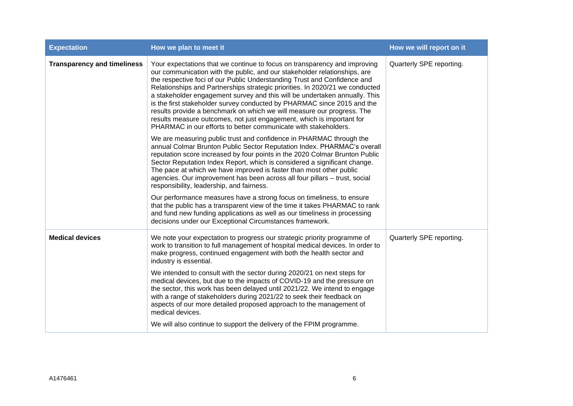| <b>Expectation</b>                 | How we plan to meet it                                                                                                                                                                                                                                                                                                                                                                                                                                                                                                                                                                                                                                                                            | How we will report on it |
|------------------------------------|---------------------------------------------------------------------------------------------------------------------------------------------------------------------------------------------------------------------------------------------------------------------------------------------------------------------------------------------------------------------------------------------------------------------------------------------------------------------------------------------------------------------------------------------------------------------------------------------------------------------------------------------------------------------------------------------------|--------------------------|
| <b>Transparency and timeliness</b> | Your expectations that we continue to focus on transparency and improving<br>our communication with the public, and our stakeholder relationships, are<br>the respective foci of our Public Understanding Trust and Confidence and<br>Relationships and Partnerships strategic priorities. In 2020/21 we conducted<br>a stakeholder engagement survey and this will be undertaken annually. This<br>is the first stakeholder survey conducted by PHARMAC since 2015 and the<br>results provide a benchmark on which we will measure our progress. The<br>results measure outcomes, not just engagement, which is important for<br>PHARMAC in our efforts to better communicate with stakeholders. | Quarterly SPE reporting. |
|                                    | We are measuring public trust and confidence in PHARMAC through the<br>annual Colmar Brunton Public Sector Reputation Index. PHARMAC's overall<br>reputation score increased by four points in the 2020 Colmar Brunton Public<br>Sector Reputation Index Report, which is considered a significant change.<br>The pace at which we have improved is faster than most other public<br>agencies. Our improvement has been across all four pillars - trust, social<br>responsibility, leadership, and fairness.                                                                                                                                                                                      |                          |
|                                    | Our performance measures have a strong focus on timeliness, to ensure<br>that the public has a transparent view of the time it takes PHARMAC to rank<br>and fund new funding applications as well as our timeliness in processing<br>decisions under our Exceptional Circumstances framework.                                                                                                                                                                                                                                                                                                                                                                                                     |                          |
| <b>Medical devices</b>             | We note your expectation to progress our strategic priority programme of<br>work to transition to full management of hospital medical devices. In order to<br>make progress, continued engagement with both the health sector and<br>industry is essential.                                                                                                                                                                                                                                                                                                                                                                                                                                       | Quarterly SPE reporting. |
|                                    | We intended to consult with the sector during 2020/21 on next steps for<br>medical devices, but due to the impacts of COVID-19 and the pressure on<br>the sector, this work has been delayed until 2021/22. We intend to engage<br>with a range of stakeholders during 2021/22 to seek their feedback on<br>aspects of our more detailed proposed approach to the management of<br>medical devices.                                                                                                                                                                                                                                                                                               |                          |
|                                    | We will also continue to support the delivery of the FPIM programme.                                                                                                                                                                                                                                                                                                                                                                                                                                                                                                                                                                                                                              |                          |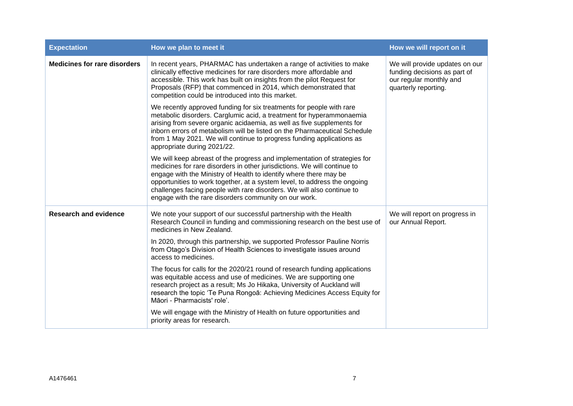| <b>Expectation</b>                  | How we plan to meet it                                                                                                                                                                                                                                                                                                                                                                                                                     | How we will report on it                                                                                          |
|-------------------------------------|--------------------------------------------------------------------------------------------------------------------------------------------------------------------------------------------------------------------------------------------------------------------------------------------------------------------------------------------------------------------------------------------------------------------------------------------|-------------------------------------------------------------------------------------------------------------------|
| <b>Medicines for rare disorders</b> | In recent years, PHARMAC has undertaken a range of activities to make<br>clinically effective medicines for rare disorders more affordable and<br>accessible. This work has built on insights from the pilot Request for<br>Proposals (RFP) that commenced in 2014, which demonstrated that<br>competition could be introduced into this market.                                                                                           | We will provide updates on our<br>funding decisions as part of<br>our regular monthly and<br>quarterly reporting. |
|                                     | We recently approved funding for six treatments for people with rare<br>metabolic disorders. Carglumic acid, a treatment for hyperammonaemia<br>arising from severe organic acidaemia, as well as five supplements for<br>inborn errors of metabolism will be listed on the Pharmaceutical Schedule<br>from 1 May 2021. We will continue to progress funding applications as<br>appropriate during 2021/22.                                |                                                                                                                   |
|                                     | We will keep abreast of the progress and implementation of strategies for<br>medicines for rare disorders in other jurisdictions. We will continue to<br>engage with the Ministry of Health to identify where there may be<br>opportunities to work together, at a system level, to address the ongoing<br>challenges facing people with rare disorders. We will also continue to<br>engage with the rare disorders community on our work. |                                                                                                                   |
| <b>Research and evidence</b>        | We note your support of our successful partnership with the Health<br>Research Council in funding and commissioning research on the best use of<br>medicines in New Zealand.                                                                                                                                                                                                                                                               | We will report on progress in<br>our Annual Report.                                                               |
|                                     | In 2020, through this partnership, we supported Professor Pauline Norris<br>from Otago's Division of Health Sciences to investigate issues around<br>access to medicines.                                                                                                                                                                                                                                                                  |                                                                                                                   |
|                                     | The focus for calls for the 2020/21 round of research funding applications<br>was equitable access and use of medicines. We are supporting one<br>research project as a result; Ms Jo Hikaka, University of Auckland will<br>research the topic 'Te Puna Rongoā: Achieving Medicines Access Equity for<br>Māori - Pharmacists' role'.                                                                                                      |                                                                                                                   |
|                                     | We will engage with the Ministry of Health on future opportunities and<br>priority areas for research.                                                                                                                                                                                                                                                                                                                                     |                                                                                                                   |